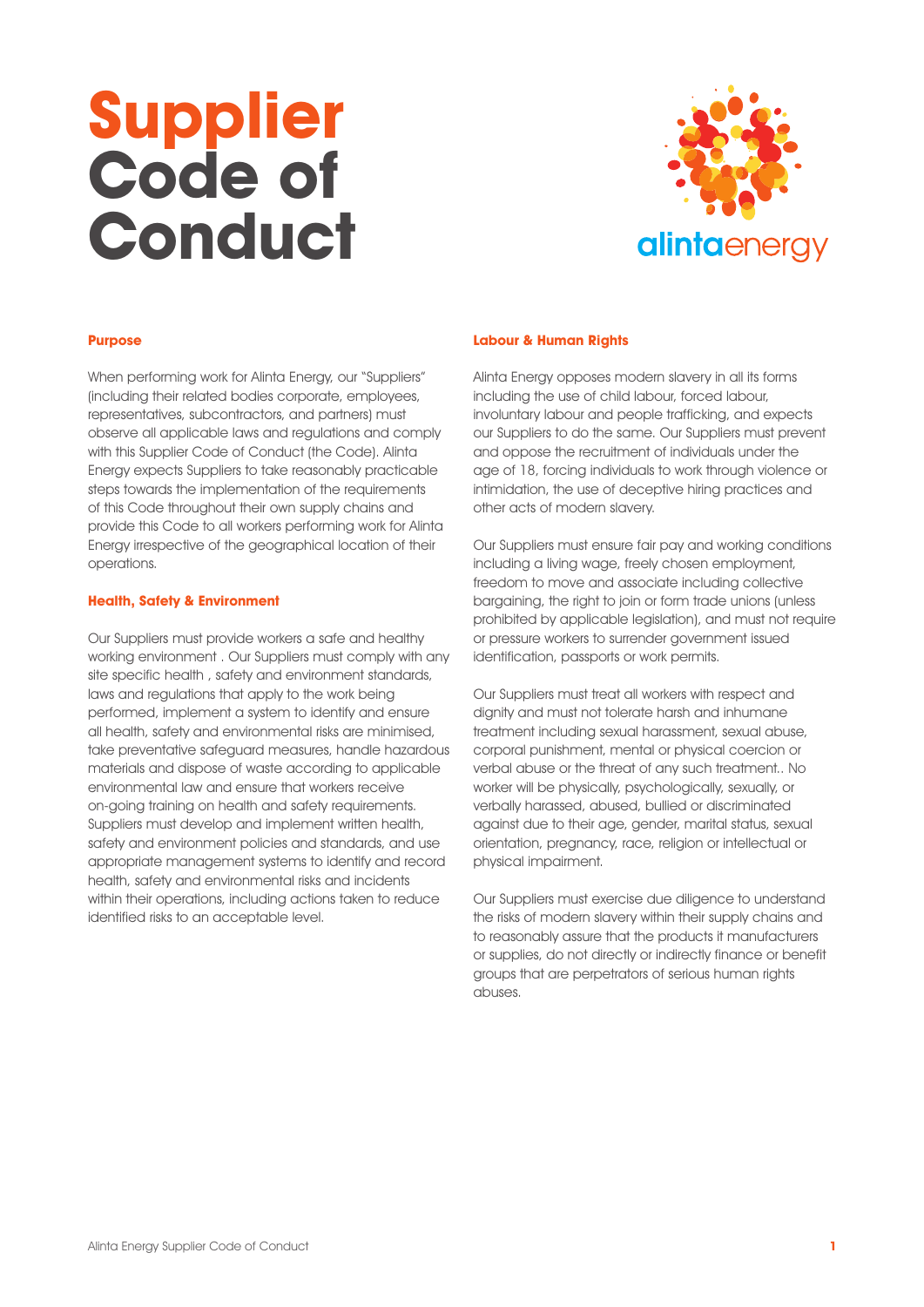# **Supplier Code of Conduct**



# **Purpose**

When performing work for Alinta Energy, our "Suppliers" (including their related bodies corporate, employees, representatives, subcontractors, and partners) must observe all applicable laws and regulations and comply with this Supplier Code of Conduct (the Code). Alinta Energy expects Suppliers to take reasonably practicable steps towards the implementation of the requirements of this Code throughout their own supply chains and provide this Code to all workers performing work for Alinta Energy irrespective of the geographical location of their operations.

# **Health, Safety & Environment**

Our Suppliers must provide workers a safe and healthy working environment . Our Suppliers must comply with any site specific health , safety and environment standards, laws and regulations that apply to the work being performed, implement a system to identify and ensure all health, safety and environmental risks are minimised, take preventative safeguard measures, handle hazardous materials and dispose of waste according to applicable environmental law and ensure that workers receive on-going training on health and safety requirements. Suppliers must develop and implement written health, safety and environment policies and standards, and use appropriate management systems to identify and record health, safety and environmental risks and incidents within their operations, including actions taken to reduce identified risks to an acceptable level.

# **Labour & Human Rights**

Alinta Energy opposes modern slavery in all its forms including the use of child labour, forced labour, involuntary labour and people trafficking, and expects our Suppliers to do the same. Our Suppliers must prevent and oppose the recruitment of individuals under the age of 18, forcing individuals to work through violence or intimidation, the use of deceptive hiring practices and other acts of modern slavery.

Our Suppliers must ensure fair pay and working conditions including a living wage, freely chosen employment, freedom to move and associate including collective bargaining, the right to join or form trade unions (unless prohibited by applicable legislation), and must not require or pressure workers to surrender government issued identification, passports or work permits.

Our Suppliers must treat all workers with respect and dignity and must not tolerate harsh and inhumane treatment including sexual harassment, sexual abuse, corporal punishment, mental or physical coercion or verbal abuse or the threat of any such treatment.. No worker will be physically, psychologically, sexually, or verbally harassed, abused, bullied or discriminated against due to their age, gender, marital status, sexual orientation, pregnancy, race, religion or intellectual or physical impairment.

Our Suppliers must exercise due diligence to understand the risks of modern slavery within their supply chains and to reasonably assure that the products it manufacturers or supplies, do not directly or indirectly finance or benefit groups that are perpetrators of serious human rights abuses.